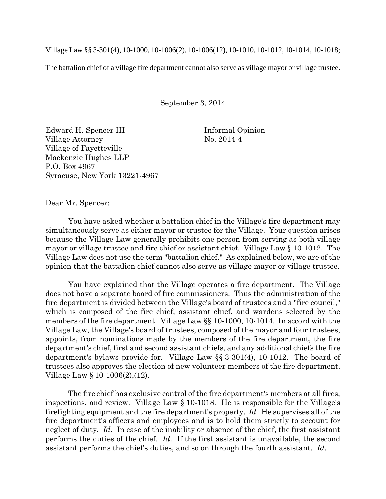Village Law §§ 3-301(4), 10-1000, 10-1006(2), 10-1006(12), 10-1010, 10-1012, 10-1014, 10-1018;

The battalion chief of a village fire department cannot also serve as village mayor or village trustee.

September 3, 2014

Edward H. Spencer III Informal Opinion Village Attorney No. 2014-4 Village of Fayetteville Mackenzie Hughes LLP P.O. Box 4967 Syracuse, New York 13221-4967

Dear Mr. Spencer:

You have asked whether a battalion chief in the Village's fire department may simultaneously serve as either mayor or trustee for the Village. Your question arises because the Village Law generally prohibits one person from serving as both village mayor or village trustee and fire chief or assistant chief. Village Law § 10-1012. The Village Law does not use the term "battalion chief." As explained below, we are of the opinion that the battalion chief cannot also serve as village mayor or village trustee.

You have explained that the Village operates a fire department. The Village does not have a separate board of fire commissioners. Thus the administration of the fire department is divided between the Village's board of trustees and a "fire council," which is composed of the fire chief, assistant chief, and wardens selected by the members of the fire department. Village Law §§ 10-1000, 10-1014. In accord with the Village Law, the Village's board of trustees, composed of the mayor and four trustees, appoints, from nominations made by the members of the fire department, the fire department's chief, first and second assistant chiefs, and any additional chiefs the fire department's bylaws provide for. Village Law §§ 3-301(4), 10-1012. The board of trustees also approves the election of new volunteer members of the fire department. Village Law § 10-1006(2),(12).

The fire chief has exclusive control of the fire department's members at all fires, inspections, and review. Village Law § 10-1018. He is responsible for the Village's firefighting equipment and the fire department's property. *Id.* He supervises all of the fire department's officers and employees and is to hold them strictly to account for neglect of duty. *Id*. In case of the inability or absence of the chief, the first assistant performs the duties of the chief. *Id*. If the first assistant is unavailable, the second assistant performs the chief's duties, and so on through the fourth assistant. *Id*.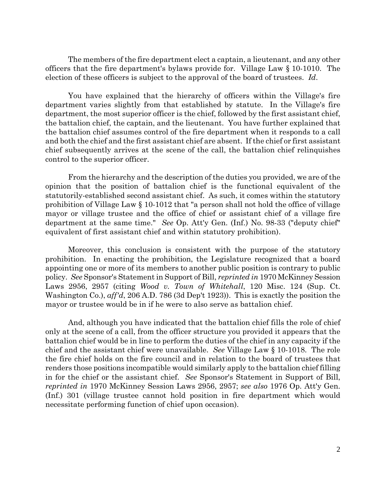The members of the fire department elect a captain, a lieutenant, and any other officers that the fire department's bylaws provide for. Village Law § 10-1010. The election of these officers is subject to the approval of the board of trustees. *Id*.

You have explained that the hierarchy of officers within the Village's fire department varies slightly from that established by statute. In the Village's fire department, the most superior officer is the chief, followed by the first assistant chief, the battalion chief, the captain, and the lieutenant. You have further explained that the battalion chief assumes control of the fire department when it responds to a call and both the chief and the first assistant chief are absent. If the chief or first assistant chief subsequently arrives at the scene of the call, the battalion chief relinquishes control to the superior officer.

From the hierarchy and the description of the duties you provided, we are of the opinion that the position of battalion chief is the functional equivalent of the statutorily-established second assistant chief. As such, it comes within the statutory prohibition of Village Law § 10-1012 that "a person shall not hold the office of village mayor or village trustee and the office of chief or assistant chief of a village fire department at the same time." *See* Op. Att'y Gen. (Inf.) No. 98-33 ("deputy chief" equivalent of first assistant chief and within statutory prohibition).

Moreover, this conclusion is consistent with the purpose of the statutory prohibition. In enacting the prohibition, the Legislature recognized that a board appointing one or more of its members to another public position is contrary to public policy. *See* Sponsor's Statement in Support of Bill, *reprinted in* 1970 McKinney Session Laws 2956, 2957 (citing *Wood v. Town of Whitehall*, 120 Misc. 124 (Sup. Ct. Washington Co.), *aff'd*, 206 A.D. 786 (3d Dep't 1923)). This is exactly the position the mayor or trustee would be in if he were to also serve as battalion chief.

And, although you have indicated that the battalion chief fills the role of chief only at the scene of a call, from the officer structure you provided it appears that the battalion chief would be in line to perform the duties of the chief in any capacity if the chief and the assistant chief were unavailable. *See* Village Law § 10-1018. The role the fire chief holds on the fire council and in relation to the board of trustees that renders those positions incompatible would similarly apply to the battalion chief filling in for the chief or the assistant chief. *See* Sponsor's Statement in Support of Bill, *reprinted in* 1970 McKinney Session Laws 2956, 2957; *see also* 1976 Op. Att'y Gen. (Inf.) 301 (village trustee cannot hold position in fire department which would necessitate performing function of chief upon occasion).